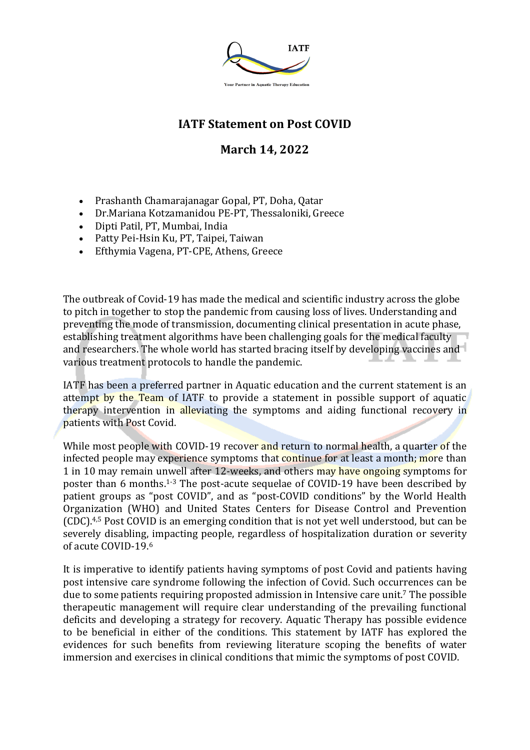

## **IATF Statement on Post COVID**

## **March 14, 2022**

- Prashanth Chamarajanagar Gopal, PT, Doha, Qatar
- Dr.Mariana Kotzamanidou PE-PT, Thessaloniki, Greece
- Dipti Patil, PT, Mumbai, India
- Patty Pei-Hsin Ku, PT, Taipei, Taiwan
- Efthymia Vagena, PT-CPE, Athens, Greece

The outbreak of Covid-19 has made the medical and scientific industry across the globe to pitch in together to stop the pandemic from causing loss of lives. Understanding and preventing the mode of transmission, documenting clinical presentation in acute phase, establishing treatment algorithms have been challenging goals for the medical faculty and researchers. The whole world has started bracing itself by developing vaccines and various treatment protocols to handle the pandemic.

IATF has been a preferred partner in Aquatic education and the current statement is an attempt by the Team of IATF to provide a statement in possible support of aquatic therapy intervention in alleviating the symptoms and aiding functional recovery in patients with Post Covid.

While most people with COVID-19 recover and return to normal health, a quarter of the infected people may experience symptoms that continue for at least a month; more than 1 in 10 may remain unwell after 12-weeks, and others may have ongoing symptoms for poster than 6 months.<sup>1-3</sup> The post-acute sequelae of COVID-19 have been described by patient groups as "post COVID", and as "post-COVID conditions" by the World Health Organization (WHO) and United States Centers for Disease Control and Prevention (CDC).<sup>4,5</sup> Post COVID is an emerging condition that is not yet well understood, but can be severely disabling, impacting people, regardless of hospitalization duration or severity of acute COVID-19.6

It is imperative to identify patients having symptoms of post Covid and patients having post intensive care syndrome following the infection of Covid. Such occurrences can be due to some patients requiring proposted admission in Intensive care unit.<sup>7</sup> The possible therapeutic management will require clear understanding of the prevailing functional deficits and developing a strategy for recovery. Aquatic Therapy has possible evidence to be beneficial in either of the conditions. This statement by IATF has explored the evidences for such benefits from reviewing literature scoping the benefits of water immersion and exercises in clinical conditions that mimic the symptoms of post COVID.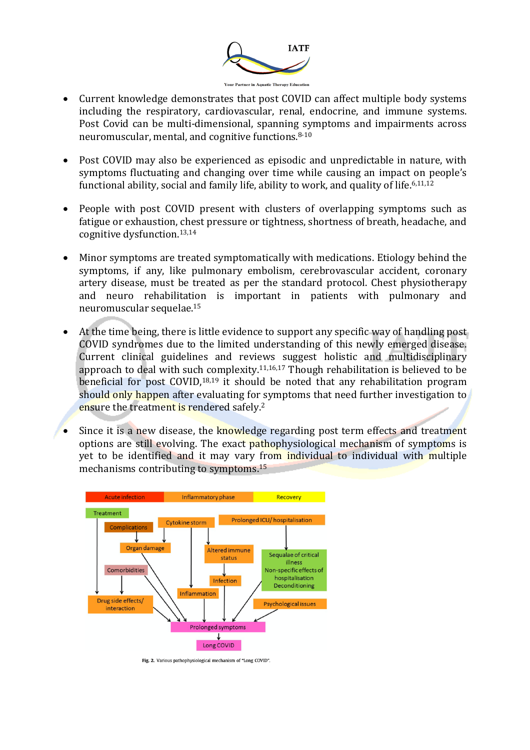

- Current knowledge demonstrates that post COVID can affect multiple body systems including the respiratory, cardiovascular, renal, endocrine, and immune systems. Post Covid can be multi-dimensional, spanning symptoms and impairments across neuromuscular, mental, and cognitive functions.<sup>8-10</sup>
- Post COVID may also be experienced as episodic and unpredictable in nature, with symptoms fluctuating and changing over time while causing an impact on people's functional ability, social and family life, ability to work, and quality of life.<sup>6,11,12</sup>
- People with post COVID present with clusters of overlapping symptoms such as fatigue or exhaustion, chest pressure or tightness, shortness of breath, headache, and cognitive dysfunction.<sup>13,14</sup>
- Minor symptoms are treated symptomatically with medications. Etiology behind the symptoms, if any, like pulmonary embolism, cerebrovascular accident, coronary artery disease, must be treated as per the standard protocol. Chest physiotherapy and neuro rehabilitation is important in patients with pulmonary and neuromuscular sequelae.<sup>15</sup>
- At the time being, there is little evidence to support any specific way of handling post COVID syndromes due to the limited understanding of this newly emerged disease. Current clinical guidelines and reviews suggest holistic and multidisciplinary approach to deal with such complexity. $11,16,17$  Though rehabilitation is believed to be beneficial for post COVID,<sup>18,19</sup> it should be noted that any rehabilitation program should only happen after evaluating for symptoms that need further investigation to ensure the treatment is rendered safely.<sup>2</sup>
- Since it is a new disease, the knowledge regarding post term effects and treatment options are still evolving. The exact pathophysiological mechanism of symptoms is yet to be identified and it may vary from individual to individual with multiple mechanisms contributing to symptoms.<sup>15</sup>



Fig. 2. Various pathophysiological mechanism of "Long COVID".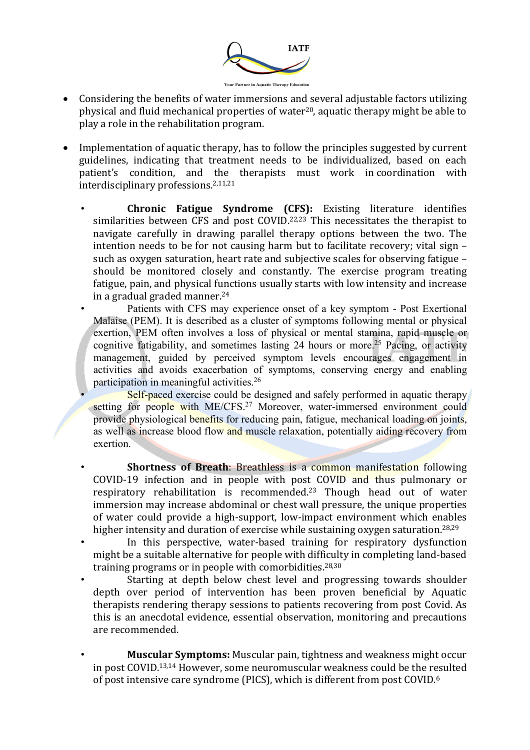

- Considering the benefits of water immersions and several adjustable factors utilizing physical and fluid mechanical properties of water<sup>20</sup>, aquatic therapy might be able to play a role in the rehabilitation program.
- Implementation of aquatic therapy, has to follow the principles suggested by current guidelines, indicating that treatment needs to be individualized, based on each patient's condition, and the therapists must work in coordination with interdisciplinary professions.<sup>2,11,21</sup>
	- **Chronic Fatigue Syndrome (CFS):** Existing literature identifies similarities between CFS and post COVID.<sup>22,23</sup> This necessitates the therapist to navigate carefully in drawing parallel therapy options between the two. The intention needs to be for not causing harm but to facilitate recovery; vital sign such as oxygen saturation, heart rate and subjective scales for observing fatigue – should be monitored closely and constantly. The exercise program treating fatigue, pain, and physical functions usually starts with low intensity and increase in a gradual graded manner. $24$

• Patients with CFS may experience onset of a key symptom - Post Exertional Malaise (PEM). It is described as a cluster of symptoms following mental or physical exertion, PEM often involves a loss of physical or mental stamina, rapid muscle or cognitive fatigability, and sometimes lasting 24 hours or more. <sup>25</sup> Pacing, or activity management, guided by perceived symptom levels encourages engagement in activities and avoids exacerbation of symptoms, conserving energy and enabling participation in meaningful activities.26

Self-paced exercise could be designed and safely performed in aquatic therapy setting for people with ME/CFS.<sup>27</sup> Moreover, water-immersed environment could provide physiological benefits for reducing pain, fatigue, mechanical loading on joints, as well as increase blood flow and muscle relaxation, potentially aiding recovery from exertion.

**Shortness of Breath:** Breathless is a common manifestation following COVID-19 infection and in people with post COVID and thus pulmonary or respiratory rehabilitation is recommended.<sup>23</sup> Though head out of water immersion may increase abdominal or chest wall pressure, the unique properties of water could provide a high-support, low-impact environment which enables higher intensity and duration of exercise while sustaining oxygen saturation.<sup>28,29</sup>

In this perspective, water-based training for respiratory dysfunction might be a suitable alternative for people with difficulty in completing land-based training programs or in people with comorbidities. $28,30$ 

Starting at depth below chest level and progressing towards shoulder depth over period of intervention has been proven beneficial by Aquatic therapists rendering therapy sessions to patients recovering from post Covid. As this is an anecdotal evidence, essential observation, monitoring and precautions are recommended.

**Muscular Symptoms:** Muscular pain, tightness and weakness might occur in post COVID.<sup>13,14</sup> However, some neuromuscular weakness could be the resulted of post intensive care syndrome (PICS), which is different from post COVID.<sup>6</sup>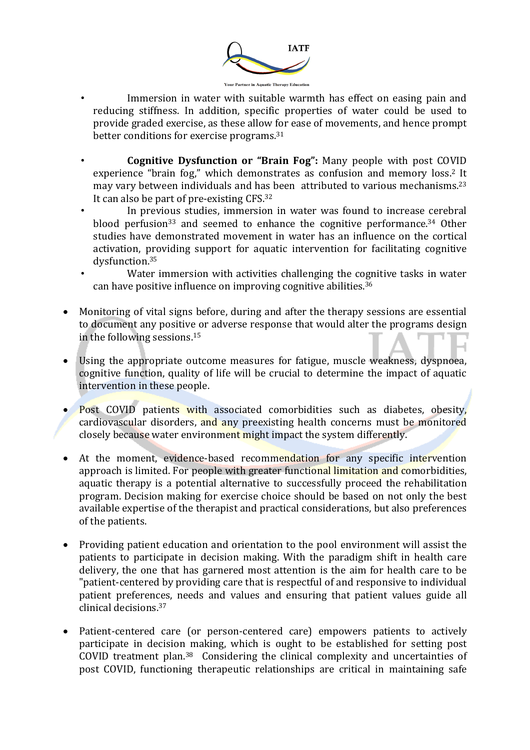

- Immersion in water with suitable warmth has effect on easing pain and reducing stiffness. In addition, specific properties of water could be used to provide graded exercise, as these allow for ease of movements, and hence prompt better conditions for exercise programs. $31$
- **Cognitive Dysfunction or "Brain Fog":** Many people with post COVID experience "brain fog," which demonstrates as confusion and memory loss.<sup>2</sup> It may vary between individuals and has been attributed to various mechanisms.<sup>23</sup> It can also be part of pre-existing  $CFS$ .<sup>32</sup>
- In previous studies, immersion in water was found to increase cerebral blood perfusion<sup>33</sup> and seemed to enhance the cognitive performance.<sup>34</sup> Other studies have demonstrated movement in water has an influence on the cortical activation, providing support for aquatic intervention for facilitating cognitive dysfunction.35
- Water immersion with activities challenging the cognitive tasks in water can have positive influence on improving cognitive abilities.<sup>36</sup>
- Monitoring of vital signs before, during and after the therapy sessions are essential to document any positive or adverse response that would alter the programs design in the following sessions. $15$
- Using the appropriate outcome measures for fatigue, muscle weakness, dyspnoea, cognitive function, quality of life will be crucial to determine the impact of aquatic intervention in these people.
- **Post COVID** patients with associated comorbidities such as diabetes, obesity, cardiovascular disorders, and any preexisting health concerns must be monitored closely because water environment might impact the system differently.
- At the moment, evidence-based recommendation for any specific intervention approach is limited. For people with greater functional limitation and comorbidities, aquatic therapy is a potential alternative to successfully proceed the rehabilitation program. Decision making for exercise choice should be based on not only the best available expertise of the therapist and practical considerations, but also preferences of the patients.
- Providing patient education and orientation to the pool environment will assist the patients to participate in decision making. With the paradigm shift in health care delivery, the one that has garnered most attention is the aim for health care to be "patient-centered by providing care that is respectful of and responsive to individual patient preferences, needs and values and ensuring that patient values guide all clinical decisions.37
- Patient-centered care (or person-centered care) empowers patients to actively participate in decision making, which is ought to be established for setting post COVID treatment plan.<sup>38</sup> Considering the clinical complexity and uncertainties of post COVID, functioning therapeutic relationships are critical in maintaining safe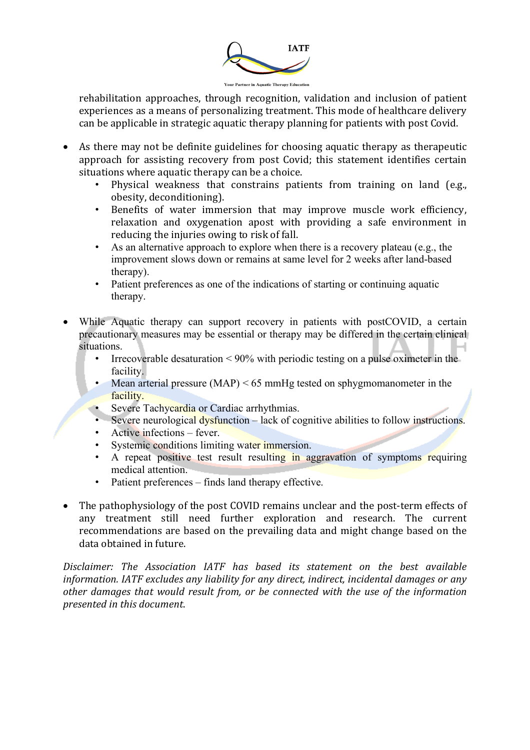

rehabilitation approaches, through recognition, validation and inclusion of patient experiences as a means of personalizing treatment. This mode of healthcare delivery can be applicable in strategic aquatic therapy planning for patients with post Covid.

- As there may not be definite guidelines for choosing aquatic therapy as therapeutic approach for assisting recovery from post Covid; this statement identifies certain situations where aquatic therapy can be a choice.
	- Physical weakness that constrains patients from training on land (e.g., obesity, deconditioning).
	- Benefits of water immersion that may improve muscle work efficiency, relaxation and oxygenation apost with providing a safe environment in reducing the injuries owing to risk of fall.
	- As an alternative approach to explore when there is a recovery plateau (e.g., the improvement slows down or remains at same level for 2 weeks after land-based therapy).
	- Patient preferences as one of the indications of starting or continuing aquatic therapy.
- While Aquatic therapy can support recovery in patients with postCOVID, a certain precautionary measures may be essential or therapy may be differed in the certain clinical situations.
	- Irrecoverable desaturation  $\leq 90\%$  with periodic testing on a pulse oximeter in the facility.
	- Mean arterial pressure (MAP) < 65 mmHg tested on sphygmomanometer in the facility.
	- Severe Tachycardia or Cardiac arrhythmias.
	- Severe neurological dysfunction lack of cognitive abilities to follow instructions.
	- Active infections fever.
	- Systemic conditions limiting water immersion.
	- A repeat positive test result resulting in aggravation of symptoms requiring medical attention.
	- Patient preferences finds land therapy effective.
- The pathophysiology of the post COVID remains unclear and the post-term effects of any treatment still need further exploration and research. The current recommendations are based on the prevailing data and might change based on the data obtained in future.

Disclaimer: The Association IATF has based its statement on the best available *information.* IATF excludes any liability for any direct, indirect, incidental damages or any other damages that would result from, or be connected with the use of the information *presented in this document*.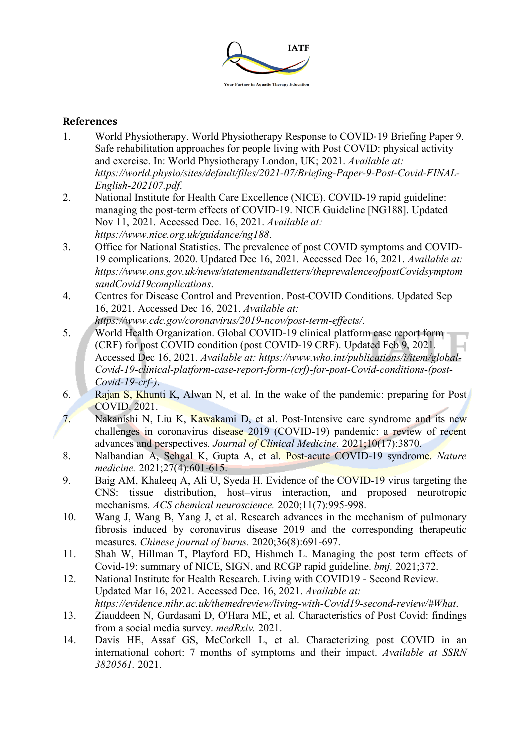

## **References**

- 1. World Physiotherapy. World Physiotherapy Response to COVID-19 Briefing Paper 9. Safe rehabilitation approaches for people living with Post COVID: physical activity and exercise. In: World Physiotherapy London, UK; 2021. *Available at: https://world.physio/sites/default/files/2021-07/Briefing-Paper-9-Post-Covid-FINAL-English-202107.pdf*.
- 2. National Institute for Health Care Excellence (NICE). COVID-19 rapid guideline: managing the post-term effects of COVID-19. NICE Guideline [NG188]. Updated Nov 11, 2021. Accessed Dec. 16, 2021. *Available at: https://www.nice.org.uk/guidance/ng188*.
- 3. Office for National Statistics. The prevalence of post COVID symptoms and COVID-19 complications. 2020. Updated Dec 16, 2021. Accessed Dec 16, 2021. *Available at: https://www.ons.gov.uk/news/statementsandletters/theprevalenceofpostCovidsymptom sandCovid19complications*.
- 4. Centres for Disease Control and Prevention. Post-COVID Conditions. Updated Sep 16, 2021. Accessed Dec 16, 2021. *Available at: https://www.cdc.gov/coronavirus/2019-ncov/post-term-effects/*.
- 5. World Health Organization. Global COVID-19 clinical platform case report form (CRF) for post COVID condition (post COVID-19 CRF). Updated Feb 9, 2021*.* Accessed Dec 16, 2021. *Available at: https://www.who.int/publications/i/item/global-Covid-19-clinical-platform-case-report-form-(crf)-for-post-Covid-conditions-(post-Covid-19-crf-)*.
- 6. Rajan S, Khunti K, Alwan N, et al. In the wake of the pandemic: preparing for Post COVID. 2021.
- 7. Nakanishi N, Liu K, Kawakami D, et al. Post-Intensive care syndrome and its new challenges in coronavirus disease 2019 (COVID-19) pandemic: a review of recent advances and perspectives. *Journal of Clinical Medicine.* 2021;10(17):3870.
- 8. Nalbandian A, Sehgal K, Gupta A, et al. Post-acute COVID-19 syndrome. *Nature medicine.* 2021;27(4):601-615.
- 9. Baig AM, Khaleeq A, Ali U, Syeda H. Evidence of the COVID-19 virus targeting the CNS: tissue distribution, host–virus interaction, and proposed neurotropic mechanisms. *ACS chemical neuroscience.* 2020;11(7):995-998.
- 10. Wang J, Wang B, Yang J, et al. Research advances in the mechanism of pulmonary fibrosis induced by coronavirus disease 2019 and the corresponding therapeutic measures. *Chinese journal of burns.* 2020;36(8):691-697.
- 11. Shah W, Hillman T, Playford ED, Hishmeh L. Managing the post term effects of Covid-19: summary of NICE, SIGN, and RCGP rapid guideline. *bmj.* 2021;372.
- 12. National Institute for Health Research. Living with COVID19 Second Review. Updated Mar 16, 2021. Accessed Dec. 16, 2021. *Available at: https://evidence.nihr.ac.uk/themedreview/living-with-Covid19-second-review/#What*.
- 13. Ziauddeen N, Gurdasani D, O'Hara ME, et al. Characteristics of Post Covid: findings from a social media survey. *medRxiv.* 2021.
- 14. Davis HE, Assaf GS, McCorkell L, et al. Characterizing post COVID in an international cohort: 7 months of symptoms and their impact. *Available at SSRN 3820561.* 2021.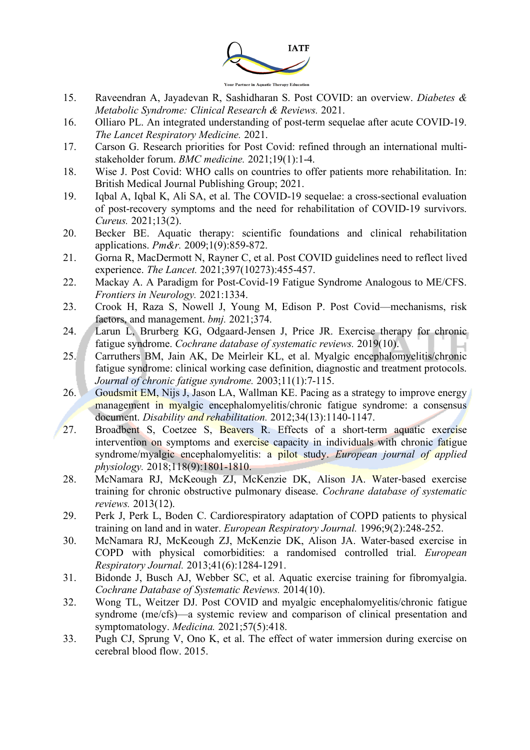

- 15. Raveendran A, Jayadevan R, Sashidharan S. Post COVID: an overview. *Diabetes & Metabolic Syndrome: Clinical Research & Reviews.* 2021.
- 16. Olliaro PL. An integrated understanding of post-term sequelae after acute COVID-19. *The Lancet Respiratory Medicine.* 2021.
- 17. Carson G. Research priorities for Post Covid: refined through an international multistakeholder forum. *BMC medicine.* 2021;19(1):1-4.
- 18. Wise J. Post Covid: WHO calls on countries to offer patients more rehabilitation. In: British Medical Journal Publishing Group; 2021.
- 19. Iqbal A, Iqbal K, Ali SA, et al. The COVID-19 sequelae: a cross-sectional evaluation of post-recovery symptoms and the need for rehabilitation of COVID-19 survivors. *Cureus.* 2021;13(2).
- 20. Becker BE. Aquatic therapy: scientific foundations and clinical rehabilitation applications. *Pm&r.* 2009;1(9):859-872.
- 21. Gorna R, MacDermott N, Rayner C, et al. Post COVID guidelines need to reflect lived experience. *The Lancet.* 2021;397(10273):455-457.
- 22. Mackay A. A Paradigm for Post-Covid-19 Fatigue Syndrome Analogous to ME/CFS. *Frontiers in Neurology.* 2021:1334.
- 23. Crook H, Raza S, Nowell J, Young M, Edison P. Post Covid—mechanisms, risk factors, and management. *bmj.* 2021;374.
- 24. Larun L, Brurberg KG, Odgaard-Jensen J, Price JR. Exercise therapy for chronic fatigue syndrome. *Cochrane database of systematic reviews.* 2019(10).
- 25. Carruthers BM, Jain AK, De Meirleir KL, et al. Myalgic encephalomyelitis/chronic fatigue syndrome: clinical working case definition, diagnostic and treatment protocols. *Journal of chronic fatigue syndrome.* 2003;11(1):7-115.
- 26. Goudsmit EM, Nijs J, Jason LA, Wallman KE. Pacing as a strategy to improve energy management in myalgic encephalomyelitis/chronic fatigue syndrome: a consensus document. *Disability and rehabilitation.* 2012;34(13):1140-1147.
- 27. Broadbent S, Coetzee S, Beavers R. Effects of a short-term aquatic exercise intervention on symptoms and exercise capacity in individuals with chronic fatigue syndrome/myalgic encephalomyelitis: a pilot study. *European journal of applied physiology.* 2018;118(9):1801-1810.
- 28. McNamara RJ, McKeough ZJ, McKenzie DK, Alison JA. Water-based exercise training for chronic obstructive pulmonary disease. *Cochrane database of systematic reviews.* 2013(12).
- 29. Perk J, Perk L, Boden C. Cardiorespiratory adaptation of COPD patients to physical training on land and in water. *European Respiratory Journal.* 1996;9(2):248-252.
- 30. McNamara RJ, McKeough ZJ, McKenzie DK, Alison JA. Water-based exercise in COPD with physical comorbidities: a randomised controlled trial. *European Respiratory Journal.* 2013;41(6):1284-1291.
- 31. Bidonde J, Busch AJ, Webber SC, et al. Aquatic exercise training for fibromyalgia. *Cochrane Database of Systematic Reviews.* 2014(10).
- 32. Wong TL, Weitzer DJ. Post COVID and myalgic encephalomyelitis/chronic fatigue syndrome (me/cfs)—a systemic review and comparison of clinical presentation and symptomatology. *Medicina.* 2021;57(5):418.
- 33. Pugh CJ, Sprung V, Ono K, et al. The effect of water immersion during exercise on cerebral blood flow. 2015.